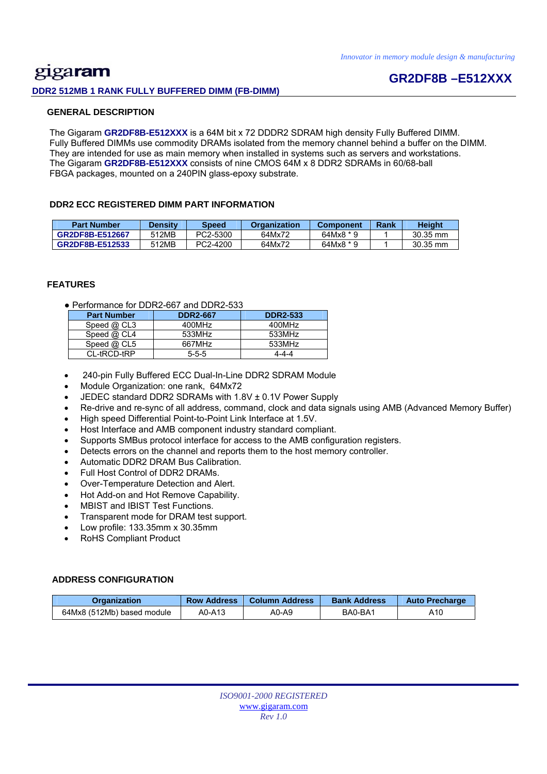### gigaram **DDR2 512MB 1 RANK FULLY BUFFERED DIMM (FB-DIMM)**

### **GR2DF8B –E512XXX**

#### **GENERAL DESCRIPTION**

 The Gigaram **GR2DF8B-E512XXX** is a 64M bit x 72 DDDR2 SDRAM high density Fully Buffered DIMM. Fully Buffered DIMMs use commodity DRAMs isolated from the memory channel behind a buffer on the DIMM. They are intended for use as main memory when installed in systems such as servers and workstations. The Gigaram **GR2DF8B-E512XXX** consists of nine CMOS 64M x 8 DDR2 SDRAMs in 60/68-ball FBGA packages, mounted on a 240PIN glass-epoxy substrate.

#### **DDR2 ECC REGISTERED DIMM PART INFORMATION**

| <b>Part Number</b> | <b>Density</b> | Speed    | Organization | <b>Component</b> | Rank | <b>Height</b> |
|--------------------|----------------|----------|--------------|------------------|------|---------------|
| GR2DF8B-E512667    | 512MB          | PC2-5300 | 64Mx72       | 64Mx8 * 9        |      | $30.35$ mm    |
| GR2DF8B-E512533    | 512MB          | PC2-4200 | 64Mx72       | $64Mx8 * 9$      |      | $30.35$ mm    |

#### **FEATURES**

● Performance for DDR2-667 and DDR2-533

| <b>Part Number</b> | <b>DDR2-667</b> | <b>DDR2-533</b> |
|--------------------|-----------------|-----------------|
| Speed $@$ CL3      | 400MHz          | 400MHz          |
| Speed $@$ CL4      | 533MHz          | 533MHz          |
| Speed $@$ CL5      | 667MHz          | 533MHz          |
| CL-tRCD-tRP        | $5 - 5 - 5$     | 4-4-4           |

- 240-pin Fully Buffered ECC Dual-In-Line DDR2 SDRAM Module
- Module Organization: one rank, 64Mx72
- JEDEC standard DDR2 SDRAMs with 1.8V ± 0.1V Power Supply
- Re-drive and re-sync of all address, command, clock and data signals using AMB (Advanced Memory Buffer)
- High speed Differential Point-to-Point Link Interface at 1.5V.
- Host Interface and AMB component industry standard compliant.
- Supports SMBus protocol interface for access to the AMB configuration registers.
- Detects errors on the channel and reports them to the host memory controller.
- Automatic DDR2 DRAM Bus Calibration.
- Full Host Control of DDR2 DRAMs.
- Over-Temperature Detection and Alert.
- Hot Add-on and Hot Remove Capability.
- MBIST and IBIST Test Functions.
- Transparent mode for DRAM test support.
- Low profile: 133.35mm x 30.35mm
- RoHS Compliant Product

#### **ADDRESS CONFIGURATION**

| Organization               | <b>Row Address</b> | Column Address | <b>Bank Address</b> | <b>Auto Precharge</b> |
|----------------------------|--------------------|----------------|---------------------|-----------------------|
| 64Mx8 (512Mb) based module | A0-A13             | A0-A9          | BA0-BA1             | A10                   |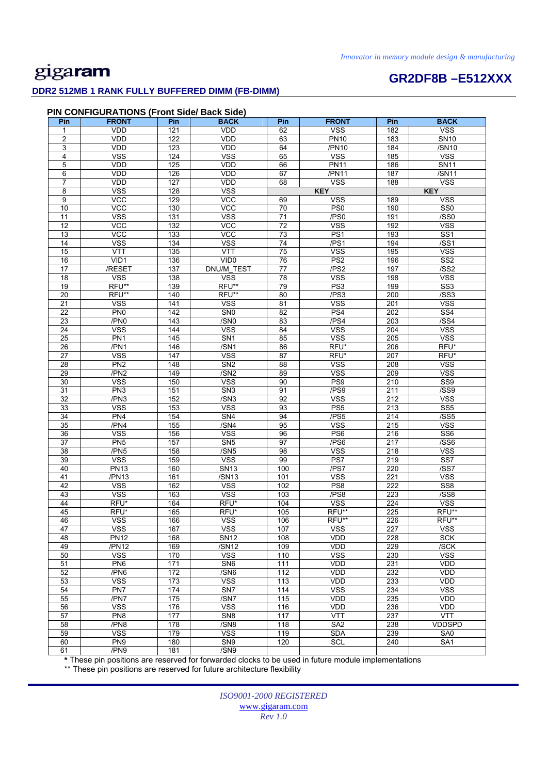# **GR2DF8B –E512XXX**

### **DDR2 512MB 1 RANK FULLY BUFFERED DIMM (FB-DIMM)**

#### **PIN CONFIGURATIONS (Front Side/ Back Side)**

| Pin                     | <b>FRONT</b>    | Pin              | <b>BACK</b>             | Pin             | <b>FRONT</b>                  | Pin              | <b>BACK</b>     |
|-------------------------|-----------------|------------------|-------------------------|-----------------|-------------------------------|------------------|-----------------|
| $\mathbf{1}$            | <b>VDD</b>      | 121              | <b>VDD</b>              | 62              | <b>VSS</b>                    | 182              | <b>VSS</b>      |
| $\overline{\mathbf{c}}$ | VDD             | 122              | VDD                     | 63              | <b>PN10</b>                   | 183              | <b>SN10</b>     |
| 3                       | <b>VDD</b>      | 123              | <b>VDD</b>              | 64              | /PN10                         | 184              | /SN10           |
| 4                       | <b>VSS</b>      | 124              | <b>VSS</b>              | 65              | <b>VSS</b>                    | 185              | <b>VSS</b>      |
| 5                       | VDD             | 125              | VDD                     | 66              | <b>PN11</b>                   | 186              | <b>SN11</b>     |
| 6                       | <b>VDD</b>      | 126              | <b>VDD</b>              | 67              | /PN11                         | 187              | /SN11           |
| $\overline{7}$          | VDD             | 127              | VDD                     | 68              | <b>VSS</b>                    | 188              | <b>VSS</b>      |
| 8                       | <b>VSS</b>      | 128              | <b>VSS</b>              |                 | <b>KEY</b>                    |                  | <b>KEY</b>      |
| $\boldsymbol{9}$        | $\overline{C}$  | 129              | <b>VCC</b>              | 69              | <b>VSS</b>                    | 189              | <b>VSS</b>      |
| 10                      | <b>VCC</b>      | 130              | <b>VCC</b>              | 70              | PS <sub>0</sub>               | 190              | SS <sub>0</sub> |
| 11                      | <b>VSS</b>      | 131              | <b>VSS</b>              | $\overline{71}$ | /PS0                          | 191              | /SS0            |
| $\overline{12}$         | VCC             | $\overline{132}$ | <b>VCC</b>              | 72              | <b>VSS</b>                    | 192              | <b>VSS</b>      |
| 13                      | <b>VCC</b>      | 133              | <b>VCC</b>              | 73              | PS1                           | 193              | SS <sub>1</sub> |
| $\overline{14}$         | <b>VSS</b>      | 134              | <b>VSS</b>              | 74              | /PS1                          | 194              | /SS1            |
| 15                      | <b>VTT</b>      | 135              | <b>VTT</b>              | 75              | <b>VSS</b>                    | 195              | <b>VSS</b>      |
| 16                      | VID1            | 136              | VID <sub>0</sub>        | 76              | PS <sub>2</sub>               | 196              | SS <sub>2</sub> |
| $\overline{17}$         | /RESET          | 137              | DNU/M_TEST              | $\overline{77}$ | $\overline{P}$ S <sub>2</sub> | 197              | /SS2            |
| 18                      | <b>VSS</b>      | 138              | <b>VSS</b>              | 78              | <b>VSS</b>                    | 198              | <b>VSS</b>      |
| 19                      | RFU**           | 139              | RFU**                   | 79              | PS <sub>3</sub>               | 199              | SS <sub>3</sub> |
| 20                      | RFU**           | 140              | RFU**                   | 80              | /PS3                          | 200              | /SS3            |
| 21                      | <b>VSS</b>      | 141              | <b>VSS</b>              | 81              | <b>VSS</b>                    | 201              | <b>VSS</b>      |
| 22                      | PN <sub>0</sub> | 142              | SN <sub>0</sub>         | 82              | PS4                           | 202              | SS <sub>4</sub> |
| 23                      | /PN0            | 143              | $\overline{/SNO}$       | 83              | /PS4                          | 203              | /SS4            |
| $\overline{24}$         | <b>VSS</b>      | 144              | $\overline{\text{VSS}}$ | 84              | <b>VSS</b>                    | 204              | <b>VSS</b>      |
| $\overline{25}$         | PN <sub>1</sub> | 145              | SN <sub>1</sub>         | 85              | <b>VSS</b>                    | 205              | <b>VSS</b>      |
| 26                      | /PN1            | 146              | /SN1                    | 86              | RFU*                          | 206              | RFU*            |
| 27                      | <b>VSS</b>      | 147              | <b>VSS</b>              | 87              | RFU*                          | 207              | RFU*            |
| 28                      | PN <sub>2</sub> | 148              | SN <sub>2</sub>         | 88              | <b>VSS</b>                    | 208              | <b>VSS</b>      |
| 29                      | /PN2            | 149              | /SN2                    | 89              | <b>VSS</b>                    | 209              | <b>VSS</b>      |
| 30                      | <b>VSS</b>      | 150              | <b>VSS</b>              | 90              | PS <sub>9</sub>               | 210              | SS9             |
| 31                      | PN <sub>3</sub> | 151              | SN <sub>3</sub>         | 91              | /PS9                          | 211              | /SS9            |
| 32                      | /PN3            | 152              | /SN3                    | 92              | <b>VSS</b>                    | 212              | <b>VSS</b>      |
| 33                      | <b>VSS</b>      | 153              | <b>VSS</b>              | 93              | PS <sub>5</sub>               | 213              | SS <sub>5</sub> |
| $\overline{34}$         | PN4             | 154              | SN4                     | 94              | /PS5                          | 214              | /SS5            |
| 35                      | /PN4            | 155              | /SM4                    | 95              | <b>VSS</b>                    | 215              | <b>VSS</b>      |
| 36                      | <b>VSS</b>      | 156              | <b>VSS</b>              | 96              | PS <sub>6</sub>               | 216              | SS <sub>6</sub> |
| 37                      | PN <sub>5</sub> | 157              | SN <sub>5</sub>         | 97              | /PS6                          | 217              | /SS6            |
| 38                      | /PN5            | 158              | /SN5                    | 98              | <b>VSS</b>                    | 218              | <b>VSS</b>      |
| 39                      | <b>VSS</b>      | 159              | <b>VSS</b>              | 99              | PS7                           | 219              | SS7             |
| 40                      | <b>PN13</b>     | 160              | <b>SN13</b>             | 100             | /PS7                          | 220              | /SS7            |
| 41                      | /PN13           | 161              | /SN13                   | 101             | <b>VSS</b>                    | 221              | <b>VSS</b>      |
| 42                      | <b>VSS</b>      | 162              | <b>VSS</b>              | 102             | PS8                           | $\overline{222}$ | SS <sub>8</sub> |
| 43                      | <b>VSS</b>      | 163              | <b>VSS</b>              | 103             | /PS8                          | 223              | /SS8            |
| 44                      | RFU*            | 164              | RFU*                    | 104             | <b>VSS</b>                    | 224              | <b>VSS</b>      |
| 45                      | RFU*            | 165              | RFU*                    | 105             | RFU**                         | 225              | RFU**           |
| 46                      | <b>VSS</b>      | 166              | <b>VSS</b>              | 106             | RFU**                         | 226              | RFU**           |
| 47                      | <b>VSS</b>      | 167              | <b>VSS</b>              | 107             | <b>VSS</b>                    | 227              | <b>VSS</b>      |
| 48                      | <b>PN12</b>     | 168              | <b>SN12</b>             | 108             | <b>VDD</b>                    | 228              | <b>SCK</b>      |
| 49                      | /PN12           | 169              | /SN12                   | 109             | VDD                           | 229              | /SCK            |
| 50                      | <b>VSS</b>      | 170              | <b>VSS</b>              | 110             | <b>VSS</b>                    | 230              | <b>VSS</b>      |
| 51                      | PN <sub>6</sub> | 171              | SN <sub>6</sub>         | 111             | VDD                           | 231              | <b>VDD</b>      |
| 52                      | /PN6            | 172              | /SN6                    | 112             | VDD                           | 232              | <b>VDD</b>      |
| 53                      | <b>VSS</b>      | 173              | <b>VSS</b>              | 113             | VDD                           | 233              | <b>VDD</b>      |
| 54                      | PN7             | 174              | SN <sub>7</sub>         | 114             | <b>VSS</b>                    | 234              | <b>VSS</b>      |
| 55                      | /PN7            | 175              | /SN7                    | 115             | VDD                           | 235              | VDD             |
| 56                      | <b>VSS</b>      | 176              | <b>VSS</b>              | 116             | VDD                           | 236              | VDD             |
| 57                      | PN8             | 177              | SN <sub>8</sub>         | 117             | <b>VTT</b>                    | 237              | <b>VTT</b>      |
| 58                      | /PN8            | 178              | /SN8                    | 118             | SA2                           | 238              | <b>VDDSPD</b>   |
| 59                      | <b>VSS</b>      | 179              | <b>VSS</b>              | 119             | <b>SDA</b>                    | 239              | SA0             |
| 60                      | PN9             | 180              | SN9                     | 120             | <b>SCL</b>                    | 240              | SA <sub>1</sub> |
| 61                      | /PN9            | 181              | /SN9                    |                 |                               |                  |                 |

**\*** These pin positions are reserved for forwarded clocks to be used in future module implementations

\*\* These pin positions are reserved for future architecture flexibility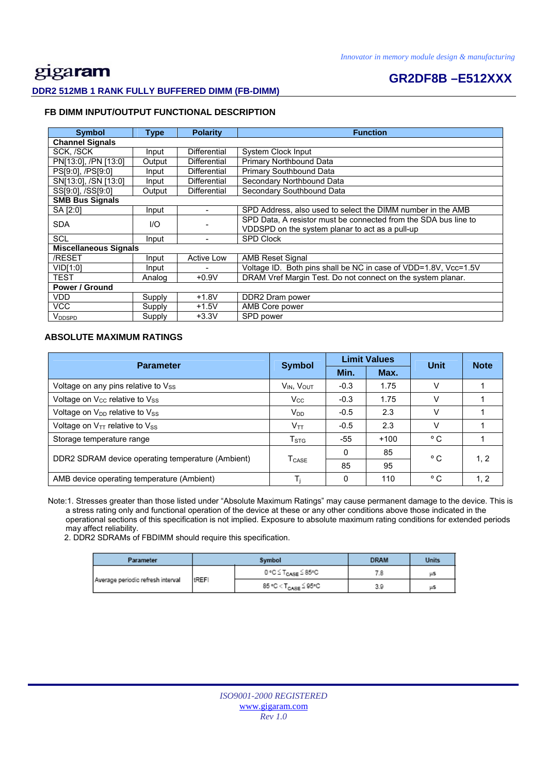## gigaram **DDR2 512MB 1 RANK FULLY BUFFERED DIMM (FB-DIMM)**

### **GR2DF8B –E512XXX**

### **FB DIMM INPUT/OUTPUT FUNCTIONAL DESCRIPTION**

| <b>Symbol</b>                | Type   | <b>Polarity</b>     | <b>Function</b>                                                 |  |  |
|------------------------------|--------|---------------------|-----------------------------------------------------------------|--|--|
| <b>Channel Signals</b>       |        |                     |                                                                 |  |  |
| SCK, /SCK                    | Input  | <b>Differential</b> | <b>System Clock Input</b>                                       |  |  |
| PN[13:0], /PN [13:0]         | Output | Differential        | Primary Northbound Data                                         |  |  |
| PS[9:0], /PS[9:0]            | Input  | <b>Differential</b> | Primary Southbound Data                                         |  |  |
| SN[13:0], /SN [13:0]         | Input  | Differential        | Secondary Northbound Data                                       |  |  |
| SS[9:0], /SS[9:0]            | Output | <b>Differential</b> | Secondary Southbound Data                                       |  |  |
| <b>SMB Bus Signals</b>       |        |                     |                                                                 |  |  |
| SA [2:0]                     | Input  | ۰                   | SPD Address, also used to select the DIMM number in the AMB     |  |  |
| <b>SDA</b>                   | 1/O    |                     | SPD Data, A resistor must be connected from the SDA bus line to |  |  |
|                              |        |                     | VDDSPD on the system planar to act as a pull-up                 |  |  |
| <b>SCL</b>                   | Input  |                     | <b>SPD Clock</b>                                                |  |  |
| <b>Miscellaneous Signals</b> |        |                     |                                                                 |  |  |
| /RESET                       | Input  | <b>Active Low</b>   | <b>AMB Reset Signal</b>                                         |  |  |
| VID[1:0]                     | Input  |                     | Voltage ID. Both pins shall be NC in case of VDD=1.8V, Vcc=1.5V |  |  |
| TEST                         | Analog | $+0.9V$             | DRAM Vref Margin Test. Do not connect on the system planar.     |  |  |
| Power / Ground               |        |                     |                                                                 |  |  |
| VDD                          | Supply | $+1.8V$             | DDR2 Dram power                                                 |  |  |
| <b>VCC</b>                   | Supply | $+1.5V$             | AMB Core power                                                  |  |  |
| V <sub>DDSPD</sub>           | Supply | $+3.3V$             | SPD power                                                       |  |  |

#### **ABSOLUTE MAXIMUM RATINGS**

| <b>Parameter</b>                                  | <b>Symbol</b>             |          | <b>Limit Values</b> | <b>Unit</b>  | <b>Note</b> |
|---------------------------------------------------|---------------------------|----------|---------------------|--------------|-------------|
|                                                   |                           | Min.     | Max.                |              |             |
| Voltage on any pins relative to Vss               | $V_{IN}$ , $V_{OUT}$      | $-0.3$   | 1.75                | V            |             |
| Voltage on V <sub>cc</sub> relative to Vss        | $V_{\rm CC}$              | $-0.3$   | 1.75                | V            |             |
| Voltage on V <sub>DD</sub> relative to Vss        | $V_{DD}$                  | $-0.5$   | 2.3                 | v            |             |
| Voltage on $V_{TT}$ relative to $V_{SS}$          | $V_{TT}$                  | $-0.5$   | 2.3                 | v            |             |
| Storage temperature range                         | $\mathsf{T}_{\text{STG}}$ | -55      | $+100$              | °C           |             |
| DDR2 SDRAM device operating temperature (Ambient) | <b>T</b> <sub>CASE</sub>  | $\Omega$ | 85                  | °C           | 1, 2        |
|                                                   |                           | 85       | 95                  |              |             |
| AMB device operating temperature (Ambient)        |                           | 0        | 110                 | $^{\circ}$ C | 1, 2        |

 Note:1. Stresses greater than those listed under "Absolute Maximum Ratings" may cause permanent damage to the device. This is a stress rating only and functional operation of the device at these or any other conditions above those indicated in the operational sections of this specification is not implied. Exposure to absolute maximum rating conditions for extended periods may affect reliability.

2. DDR2 SDRAMs of FBDIMM should require this specification.

| Parameter                         |              | Symbol                           | <b>DRAM</b> | Units |
|-----------------------------------|--------------|----------------------------------|-------------|-------|
| Average periodic refresh interval |              | 0 °C ≤ T <sub>CASE</sub> ≤ 85°C  |             | μS    |
|                                   | <b>tREFI</b> | 85 °C < T <sub>CASE</sub> ≦ 95°C | 3.9         | μS    |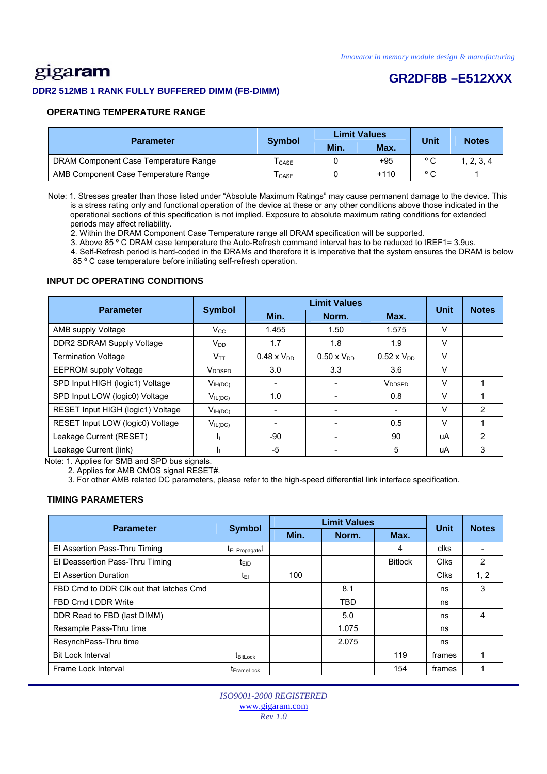## gigaram

#### **DDR2 512MB 1 RANK FULLY BUFFERED DIMM (FB-DIMM)**

### **GR2DF8B –E512XXX**

#### **OPERATING TEMPERATURE RANGE**

| <b>Parameter</b>                      |                            | <b>Limit Values</b> |        | Unit           | <b>Notes</b> |  |
|---------------------------------------|----------------------------|---------------------|--------|----------------|--------------|--|
|                                       | <b>Symbol</b>              | Min.                | Max.   |                |              |  |
| DRAM Component Case Temperature Range | $\mathsf{T}_\mathsf{CASE}$ |                     | +95    | $\circ$ $\sim$ | 1, 2, 3, 4   |  |
| AMB Component Case Temperature Range  | I CASE                     |                     | $+110$ | $\circ$ $\sim$ |              |  |

 Note: 1. Stresses greater than those listed under "Absolute Maximum Ratings" may cause permanent damage to the device. This is a stress rating only and functional operation of the device at these or any other conditions above those indicated in the operational sections of this specification is not implied. Exposure to absolute maximum rating conditions for extended periods may affect reliability.

2. Within the DRAM Component Case Temperature range all DRAM specification will be supported.

3. Above 85 º C DRAM case temperature the Auto-Refresh command interval has to be reduced to tREF1= 3.9us.

 4. Self-Refresh period is hard-coded in the DRAMs and therefore it is imperative that the system ensures the DRAM is below 85 º C case temperature before initiating self-refresh operation.

#### **INPUT DC OPERATING CONDITIONS**

| <b>Parameter</b>                  | <b>Symbol</b>                 |                      | <b>Limit Values</b>  |                      |             | <b>Notes</b> |
|-----------------------------------|-------------------------------|----------------------|----------------------|----------------------|-------------|--------------|
|                                   |                               | Min.                 | Norm.                | Max.                 | <b>Unit</b> |              |
| AMB supply Voltage                | $V_{\rm CC}$                  | 1.455                | 1.50                 | 1.575                | V           |              |
| DDR2 SDRAM Supply Voltage         | $V_{DD}$                      | 1.7                  | 1.8                  | 1.9                  | V           |              |
| <b>Termination Voltage</b>        | $V_{TT}$                      | $0.48 \times V_{DD}$ | $0.50 \times V_{DD}$ | $0.52 \times V_{DD}$ | V           |              |
| <b>EEPROM supply Voltage</b>      | $\mathsf{V}_{\mathsf{DDSPD}}$ | 3.0                  | 3.3                  | 3.6                  | V           |              |
| SPD Input HIGH (logic1) Voltage   | $V_{IH(DC)}$                  |                      |                      | V <sub>DDSPD</sub>   | v           |              |
| SPD Input LOW (logic0) Voltage    | $V_{IL(DC)}$                  | 1.0                  |                      | 0.8                  | V           |              |
| RESET Input HIGH (logic1) Voltage | $V_{IH(DC)}$                  |                      |                      |                      | V           | 2            |
| RESET Input LOW (logic0) Voltage  | $V_{IL(DC)}$                  |                      |                      | 0.5                  | V           |              |
| Leakage Current (RESET)           | ΙL.                           | $-90$                |                      | 90                   | uA          | 2            |
| Leakage Current (link)            | h.                            | -5                   |                      | 5                    | uA          | 3            |

Note: 1. Applies for SMB and SPD bus signals.

2. Applies for AMB CMOS signal RESET#.

3. For other AMB related DC parameters, please refer to the high-speed differential link interface specification.

#### **TIMING PARAMETERS**

| <b>Parameter</b>                        | <b>Symbol</b>               |      | <b>Unit</b> | <b>Notes</b>   |             |      |
|-----------------------------------------|-----------------------------|------|-------------|----------------|-------------|------|
|                                         |                             | Min. | Norm.       | Max.           |             |      |
| El Assertion Pass-Thru Timing           | t <sub>El Propagate</sub> t |      |             | 4              | clks        |      |
| El Deassertion Pass-Thru Timing         | t <sub>EID</sub>            |      |             | <b>Bitlock</b> | <b>Clks</b> | 2    |
| <b>El Assertion Duration</b>            | t∈ı                         | 100  |             |                | <b>Clks</b> | 1, 2 |
| FBD Cmd to DDR Clk out that latches Cmd |                             |      | 8.1         |                | ns          | 3    |
| FBD Cmd t DDR Write                     |                             |      | <b>TBD</b>  |                | ns          |      |
| DDR Read to FBD (last DIMM)             |                             |      | 5.0         |                | ns          | 4    |
| Resample Pass-Thru time                 |                             |      | 1.075       |                | ns          |      |
| ResynchPass-Thru time                   |                             |      | 2.075       |                | ns          |      |
| <b>Bit Lock Interval</b>                | t <sub>BitLock</sub>        |      |             | 119            | frames      |      |
| Frame Lock Interval                     | <b>TFrameLock</b>           |      |             | 154            | frames      |      |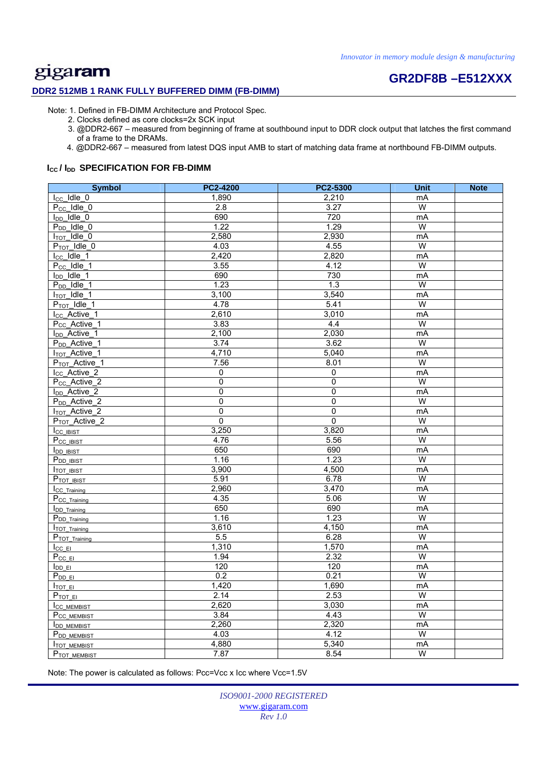#### **DDR2 512MB 1 RANK FULLY BUFFERED DIMM (FB-DIMM)**

# **GR2DF8B –E512XXX**

Note: 1. Defined in FB-DIMM Architecture and Protocol Spec.

- 2. Clocks defined as core clocks=2x SCK input
- 3. @DDR2-667 measured from beginning of frame at southbound input to DDR clock output that latches the first command of a frame to the DRAMs.
- 4. @DDR2-667 measured from latest DQS input AMB to start of matching data frame at northbound FB-DIMM outputs.

#### **I<sub>cc</sub>/I<sub>DD</sub> SPECIFICATION FOR FB-DIMM**

| <b>Symbol</b>                        | PC2-4200       | PC2-5300       | <b>Unit</b>             | <b>Note</b> |
|--------------------------------------|----------------|----------------|-------------------------|-------------|
| $I_{CC}$ Idle $_0$                   | 1,890          | 2,210          | mA                      |             |
| $P_{CC}$ Idle $_0$                   | 2.8            | 3.27           | W                       |             |
| $I_{DD}$ Idle 0                      | 690            | 720            | mA                      |             |
| $P_{DD}$ Idle $_0$                   | 1.22           | 1.29           | W                       |             |
| $I_{TOT}$ $Idle$ 0                   | 2,580          | 2,930          | mA                      |             |
| $P_{TOT}$ Idle 0                     | 4.03           | 4.55           | W                       |             |
| $I_{CC}$ Idle 1                      | 2,420          | 2,820          | mA                      |             |
| $P_{CC}$ Idle_1                      | 3.55           | 4.12           | W                       |             |
| $I_{DD}$ Idle_1                      | 690            | 730            | mA                      |             |
| $P_{DD}$ _Idle_1                     | 1.23           | 1.3            | W                       |             |
| $I_{TOT}$ dle 1                      | 3,100          | 3,540          | mA                      |             |
| P <sub>TOT</sub> Idle 1              | 4.78           | 5.41           | W                       |             |
| I <sub>CC</sub> Active 1             | 2,610          | 3,010          | mA                      |             |
| P <sub>CC</sub> _Active_1            | 3.83           | 4.4            | W                       |             |
| I <sub>DD</sub> _Active_1            | 2,100          | 2,030          | mA                      |             |
| P <sub>DD</sub> _Active_1            | 3.74           | 3.62           | W                       |             |
| <b>I<sub>TOT</sub>_Active_1</b>      | 4,710          | 5,040          | mA                      |             |
| P <sub>TOT</sub> _Active_1           | 7.56           | 8.01           | W                       |             |
| I <sub>CC</sub> _Active <sub>2</sub> | 0              | $\mathbf 0$    | mA                      |             |
| P <sub>CC</sub> _Active_2            | 0              | $\Omega$       | W                       |             |
| <b>I<sub>DD</sub>_Active_2</b>       | $\mathbf 0$    | $\Omega$       | mA                      |             |
| P <sub>DD</sub> _Active_2            | $\overline{0}$ | $\pmb{0}$      | $\overline{W}$          |             |
| I <sub>TOT</sub> _Active_2           | 0              | $\overline{0}$ | mA                      |             |
| P <sub>TOT</sub> _Active_2           | $\overline{0}$ | $\overline{0}$ | W                       |             |
| <b>ICC IBIST</b>                     | 3,250          | 3,820          | mA                      |             |
| P <sub>CC</sub> IBIST                | 4.76           | 5.56           | $\overline{\mathsf{W}}$ |             |
| <b>IDD IBIST</b>                     | 650            | 690            | mA                      |             |
| P <sub>DD IBIST</sub>                | 1.16           | 1.23           | W                       |             |
| <b>I</b> TOT IBIST                   | 3,900          | 4,500          | mA                      |             |
| P <sub>TOT IBIST</sub>               | 5.91           | 6.78           | W                       |             |
| <b>ICC</b> Training                  | 2,960          | 3,470          | mA                      |             |
| P <sub>CC_Training</sub>             | 4.35           | 5.06           | W                       |             |
| <b>IDD</b> Training                  | 650            | 690            | mA                      |             |
| P <sub>DD_Training</sub>             | 1.16           | 1.23           | W                       |             |
| <b>ITOT Training</b>                 | 3,610          | 4,150          | mA                      |             |
| P <sub>TOT</sub> Training            | 5.5            | 6.28           | W                       |             |
| $I_{CC}$ El                          | 1,310          | 1,570          | mA                      |             |
| $P_{CC}$ EI                          | 1.94           | 2.32           | W                       |             |
| $I_{DDE}$                            | 120            | 120            | mA                      |             |
| $P_{DD\_EI}$                         | 0.2            | 0.21           | W                       |             |
| $I_{\text{TOT}}$ EI                  | 1,420          | 1,690          | mA                      |             |
| P <sub>TOT EI</sub>                  | 2.14           | 2.53           | W                       |             |
| I <sub>CC MEMBIST</sub>              | 2,620          | 3,030          | mA                      |             |
| P <sub>CC MEMBIST</sub>              | 3.84           | 4.43           | W                       |             |
| <b>IDD MEMBIST</b>                   | 2,260          | 2,320          | mA                      |             |
| P <sub>DD</sub> MEMBIST              | 4.03           | 4.12           | W                       |             |
| <b>ITOT MEMBIST</b>                  | 4,880          | 5,340          | mA                      |             |
| P <sub>TOT</sub> MEMBIST             | 7.87           | 8.54           | W                       |             |

Note: The power is calculated as follows: Pcc=Vcc x Icc where Vcc=1.5V

*ISO9001-2000 REGISTERED*  www.gigaram.com *Rev 1.0*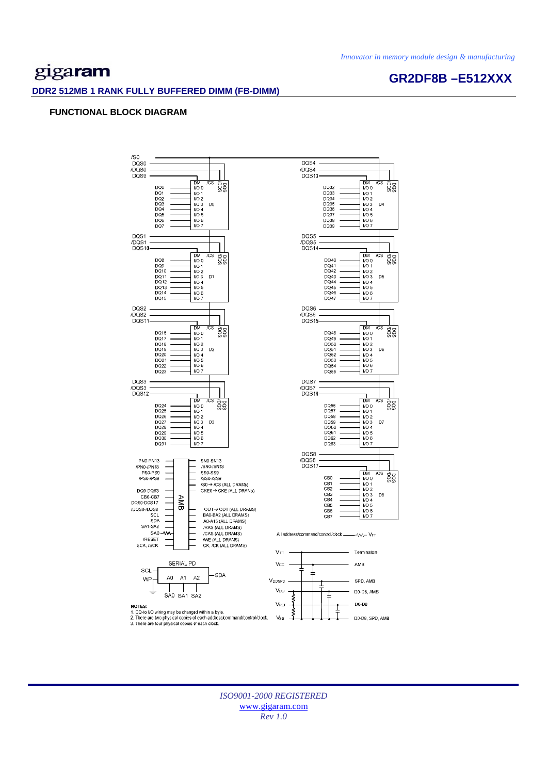**GR2DF8B –E512XXX** 

## gigaram

#### **DDR2 512MB 1 RANK FULLY BUFFERED DIMM (FB-DIMM)**

#### **FUNCTIONAL BLOCK DIAGRAM**